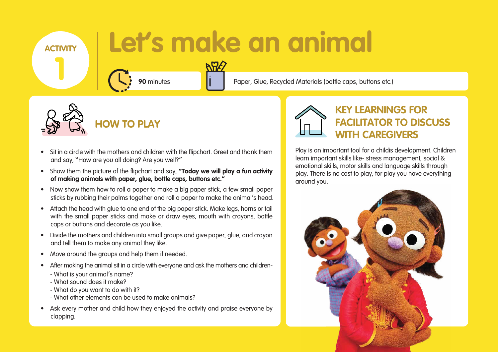- Sit in a circle with the mothers and children with the flipchart. Greet and thank them and say, "How are you all doing? Are you well?"
- Show them the picture of the flipchart and say, **"Today we will play a fun activity of making animals with paper, glue, bottle caps, buttons etc."**
- Now show them how to roll a paper to make a big paper stick, a few small paper sticks by rubbing their palms together and roll a paper to make the animal's head.
- Attach the head with glue to one end of the big paper stick. Make legs, horns or tail with the small paper sticks and make or draw eyes, mouth with crayons, bottle caps or buttons and decorate as you like.
- Divide the mothers and children into small groups and give paper, glue, and crayon and tell them to make any animal they like.
- Move around the groups and help them if needed.
- After making the animal sit in a circle with everyone and ask the mothers and children-
	- What is your animal's name?
	- What sound does it make?
	- What do you want to do with it?
	- What other elements can be used to make animals?
- Ask every mother and child how they enjoyed the activity and praise everyone by clapping.



## **Let's make an animal**

**NH2** 

**90** minutes **Paper**, Glue, Recycled Materials (bottle caps, buttons etc.)



**HOW TO PLAY** 

### **KEY LEARNINGS FOR FACILITATOR TO DISCUSS WITH CAREGIVERS**

Play is an important tool for a child's development. Children learn important skills like- stress management, social & emotional skills, motor skills and language skills through play. There is no cost to play, for play you have everything around you.



**ACTIVITY**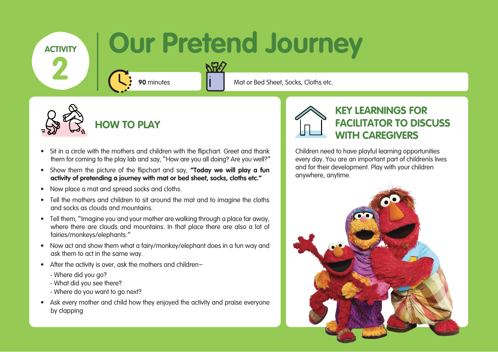- Sit in a circle with the mothers and children with the flipchart. Greet and thank them for coming to the play lab and say, "How are you all doing? Are you well?"
- Show them the picture of the flipchart and say, **"Today we will play a fun activity of pretending a journey with mat or bed sheet, socks, cloths etc."**
- Now place a mat and spread socks and cloths.
- Tell the mothers and children to sit around the mat and to imagine the cloths and socks as clouds and mountains.
- Tell them, "Imagine you and your mother are walking through a place far away, where there are clouds and mountains. In that place there are also a lot of fairies/monkeys/elephants."
- Now act and show them what a fairy/monkey/elephant does in a fun way and ask them to act in the same way.
- After the activity is over, ask the mothers and children–
	- Where did you go?
	- What did you see there?
	- Where do you want to go next?
- Ask every mother and child how they enjoyed the activity and praise everyone by clapping



### **Our Pretend Journey**

**90** minutes **Mateurial Mat or Bed Sheet, Socks, Cloths etc.** 



**HOW TO PLAY** 

### **KEY LEARNINGS FOR FACILITATOR TO DISCUSS WITH CAREGIVERS**

Children need to have playful learning opportunities every day. You are an important part of children's lives and for their development. Play with your children anywhere, anytime.



**ACTIVITY**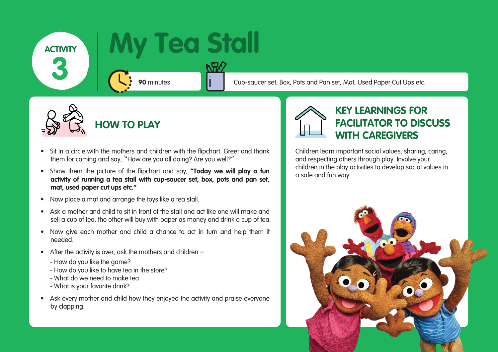- Sit in a circle with the mothers and children with the flipchart. Greet and thank them for coming and say, "How are you all doing? Are you well?"
- Show them the picture of the flipchart and say, **"Today we will play a fun activity of running a tea stall with cup-saucer set, box, pots and pan set, mat, used paper cut ups etc."**
- Now place a mat and arrange the toys like a tea stall.
- Ask a mother and child to sit in front of the stall and act like one will make and sell a cup of tea, the other will buy with paper as money and drink a cup of tea.
- Now give each mother and child a chance to act in turn and help them if needed.
- After the activity is over, ask the mothers and children
	- How do you like the game?
	- How do you like to have tea in the store?
	- What do we need to make tea
	- What is your favorite drink?
- Ask every mother and child how they enjoyed the activity and praise everyone by clapping.



### **My Tea Stall**

**90** minutes **Cup-saucer set, Box, Pots and Pan set, Mat, Used Paper Cut Ups etc.** 



**HOW TO PLAY** 

### **KEY LEARNINGS FOR FACILITATOR TO DISCUSS WITH CAREGIVERS**

Children learn important social values, sharing, caring, and respecting others through play. Involve your children in the play activities to develop social values in a safe and fun way.



**ACTIVITY**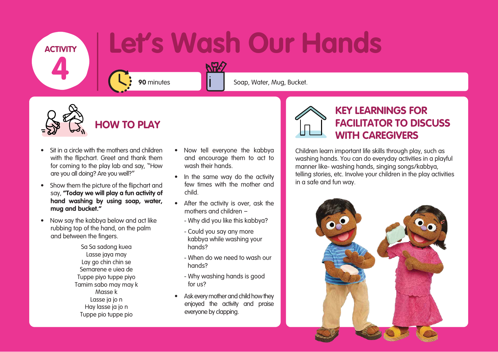- Sit in a circle with the mothers and children with the flipchart. Greet and thank them for coming to the play lab and say, "How are you all doing? Are you well?"
- Show them the picture of the flipchart and say, **"Today we will play a fun activity of hand washing by using soap, water, mug and bucket."**
- Now say the kabbya below and act like rubbing top of the hand, on the palm and between the fingers.

# **Let's Wash Our Hands**

**90** minutes **Solution Commutes** Soap, Water, Mug, Bucket.



### **HOW TO PLAY**

#### **KEY LEARNINGS FOR FACILITATOR TO DISCUSS WITH CAREGIVERS**

- In the same way do the activity few times with the mother and child.
- After the activity is over, ask the mothers and children –
	- Why did you like this kabbya?
	- Could you say any more kabbya while washing your hands?
	- When do we need to wash our hands?
	- Why washing hands is good for us?
- Ask every mother and child how they enjoyed the activity and praise everyone by clapping.



Children learn important life skills through play, such as washing hands. You can do everyday activities in a playful manner like- washing hands, singing songs/kabbya, telling stories, etc. Involve your children in the play activities in a safe and fun way.



**ACTIVITY 4**

> • Now tell everyone the kabbya and encourage them to act to wash their hands.

NHS

Sa Sa sadong kuea Lasse jaya may Lay go chin chin se Semarene e uiea de Tuppe piyo tuppe piyo Tamim sabo may may k Masse k Lasse ja jo n Hay lasse ja jo n Tuppe pio tuppe pio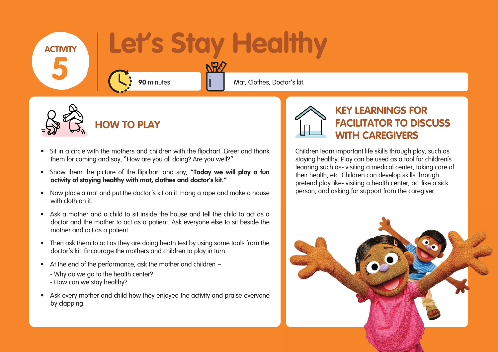- Sit in a circle with the mothers and children with the flipchart. Greet and thank them for coming and say, "How are you all doing? Are you well?"
- Show them the picture of the flipchart and say, **"Today we will play a fun activity of staying healthy with mat, clothes and doctor's kit."**
- Now place a mat and put the doctor's kit on it. Hang a rope and make a house with cloth on it.
- Ask a mother and a child to sit inside the house and tell the child to act as a doctor and the mother to act as a patient. Ask everyone else to sit beside the mother and act as a patient.
- Then ask them to act as they are doing heath test by using some tools from the doctor's kit. Encourage the mothers and children to play in turn.
- At the end of the performance, ask the mother and children
	- Why do we go to the health center?
	- How can we stay healthy?
- Ask every mother and child how they enjoyed the activity and praise everyone by clapping.



**HOW TO PLAY** 

### **KEY LEARNINGS FOR FACILITATOR TO DISCUSS WITH CAREGIVERS**

### **Let's Stay Healthy 90** minutes **Mateural Mat, Clothes, Doctor's kit. ACTIVITY 5**



Children learn important life skills through play, such as staying healthy. Play can be used as a tool for children's learning such as- visiting a medical center, taking care of their health, etc. Children can develop skills through pretend play like- visiting a health center, act like a sick person, and asking for support from the caregiver.

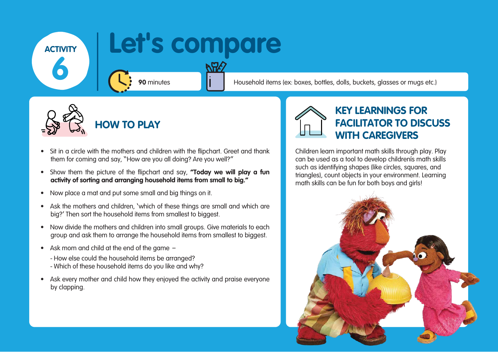- Sit in a circle with the mothers and children with the flipchart. Greet and thank them for coming and say, "How are you all doing? Are you well?"
- Show them the picture of the flipchart and say, **"Today we will play a fun activity of sorting and arranging household items from small to big."**
- Now place a mat and put some small and big things on it.
- Ask the mothers and children, 'which of these things are small and which are big?' Then sort the household items from smallest to biggest.
- Now divide the mothers and children into small groups. Give materials to each group and ask them to arrange the household items from smallest to biggest.
- Ask mom and child at the end of the game
	- How else could the household items be arranged?
	- Which of these household items do you like and why?
- Ask every mother and child how they enjoyed the activity and praise everyone by clapping.



### **Let's compare**

**90** minutes **Household items (ex: boxes, bottles, dolls, buckets, glasses or mugs etc.)** 



**HOW TO PLAY** 

### **KEY LEARNINGS FOR FACILITATOR TO DISCUSS WITH CAREGIVERS**

Children learn important math skills through play. Play can be used as a tool to develop children's math skills such as identifying shapes (like circles, squares, and triangles), count objects in your environment. Learning math skills can be fun for both boys and girls!



**ACTIVITY**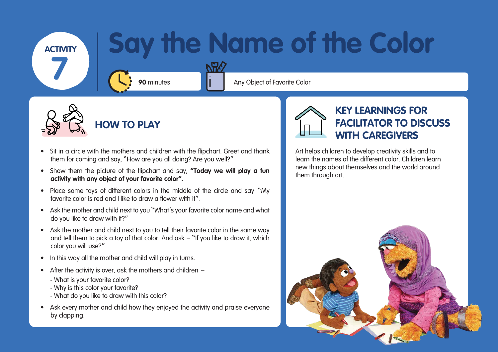- Sit in a circle with the mothers and children with the flipchart. Greet and thank them for coming and say, "How are you all doing? Are you well?"
- Show them the picture of the flipchart and say, **"Today we will play a fun activity with any object of your favorite color".**
- Place some toys of different colors in the middle of the circle and say "My favorite color is red and I like to draw a flower with it".
- Ask the mother and child next to you "What's your favorite color name and what do you like to draw with it?"
- Ask the mother and child next to you to tell their favorite color in the same way and tell them to pick a toy of that color. And ask – "If you like to draw it, which color you will use?"
- In this way all the mother and child will play in turns.
- After the activity is over, ask the mothers and children
	- What is your favorite color?
	- Why is this color your favorite?
	- What do you like to draw with this color?
- Ask every mother and child how they enjoyed the activity and praise everyone by clapping.



# **Say the Name of the Color**

**90** minutes **Any Object of Favorite Color** 



**HOW TO PLAY** 

### **KEY LEARNINGS FOR FACILITATOR TO DISCUSS WITH CAREGIVERS**

Art helps children to develop creativity skills and to learn the names of the different color. Children learn new things about themselves and the world around them through art.





**ACTIVITY 7**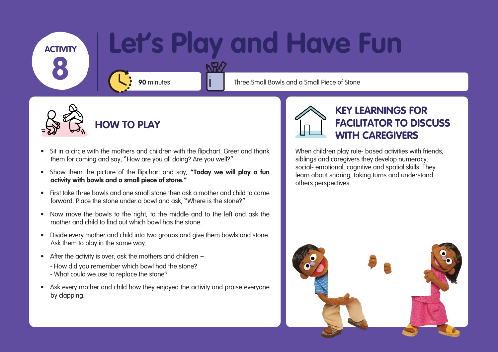- Sit in a circle with the mothers and children with the flipchart. Greet and thank them for coming and say, "How are you all doing? Are you well?"
- Show them the picture of the flipchart and say, **"Today we will play a fun activity with bowls and a small piece of stone."**
- First take three bowls and one small stone then ask a mother and child to come forward. Place the stone under a bowl and ask, "Where is the stone?"
- Now move the bowls to the right, to the middle and to the left and ask the mother and child to find out which bowl has the stone.
- Divide every mother and child into two groups and give them bowls and stone. Ask them to play in the same way.
- After the activity is over, ask the mothers and children
	- How did you remember which bowl had the stone?
	- What could we use to replace the stone?
- Ask every mother and child how they enjoyed the activity and praise everyone by clapping.



# **Let's Play and Have Fun**

**90** minutes **The Three Small Bowls and a Small Piece of Stone** 



**HOW TO PLAY** 

### **KEY LEARNINGS FOR FACILITATOR TO DISCUSS WITH CAREGIVERS**

When children play rule- based activities with friends, siblings and caregivers they develop numeracy, social- emotional, cognitive and spatial skills. They learn about sharing, taking turns and understand others perspectives.



**ACTIVITY**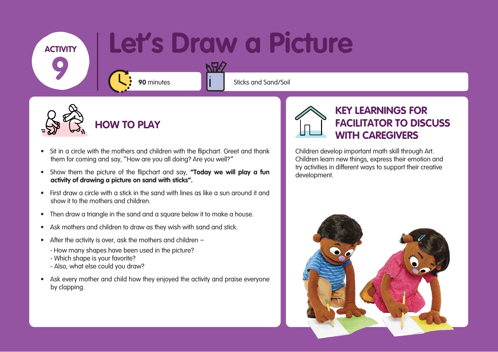### Let's Draw a Picture

RAS

**90** minutes **Sticks** and Sand/Soil



- Sit in a circle with the mothers and children with the flipchart. Greet and thank them for coming and say, "How are you all doing? Are you well?"
- Show them the picture of the flipchart and say, **"Today we will play a fun activity of drawing a picture on sand with sticks".**
- First draw a circle with a stick in the sand with lines as like a sun around it and show it to the mothers and children.
- Then draw a triangle in the sand and a square below it to make a house.
- Ask mothers and children to draw as they wish with sand and stick.
- After the activity is over, ask the mothers and children
	- How many shapes have been used in the picture?
	- Which shape is your favorite?
	- Also, what else could you draw?
- Ask every mother and child how they enjoyed the activity and praise everyone by clapping.



**HOW TO PLAY** 

### **KEY LEARNINGS FOR FACILITATOR TO DISCUSS WITH CAREGIVERS**

Children develop important math skill through Art. Children learn new things, express their emotion and try activities in different ways to support their creative development.



**ACTIVITY**